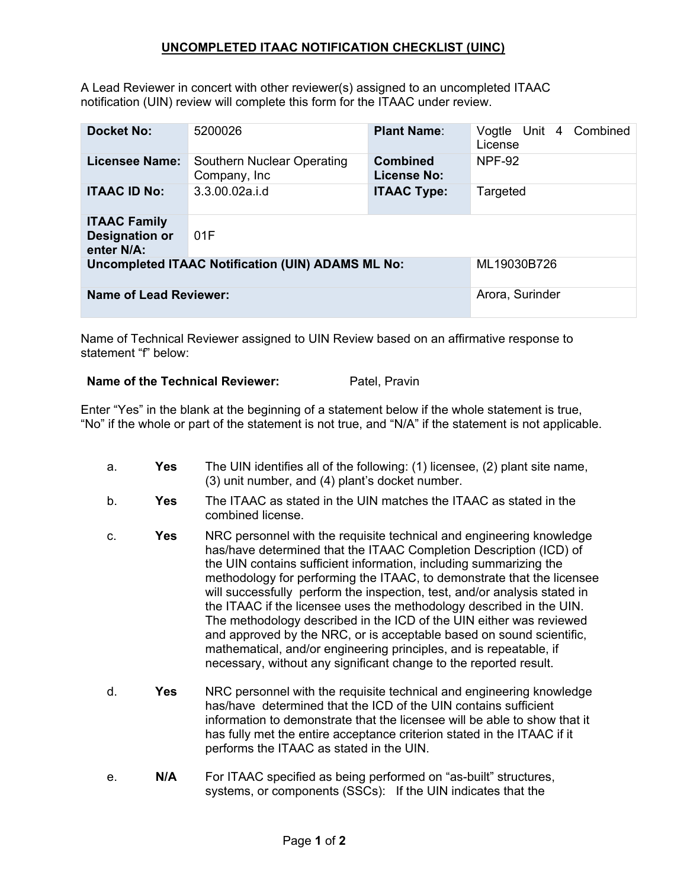## **UNCOMPLETED ITAAC NOTIFICATION CHECKLIST (UINC)**

A Lead Reviewer in concert with other reviewer(s) assigned to an uncompleted ITAAC notification (UIN) review will complete this form for the ITAAC under review.

| <b>Docket No:</b>                                          | 5200026                                    | <b>Plant Name:</b>                    | Combined<br>Vogtle Unit 4<br>License |
|------------------------------------------------------------|--------------------------------------------|---------------------------------------|--------------------------------------|
| <b>Licensee Name:</b>                                      | Southern Nuclear Operating<br>Company, Inc | <b>Combined</b><br><b>License No:</b> | <b>NPF-92</b>                        |
| <b>ITAAC ID No:</b>                                        | 3.3.00.02a.i.d                             | <b>ITAAC Type:</b>                    | Targeted                             |
| <b>ITAAC Family</b><br><b>Designation or</b><br>enter N/A: | 01F                                        |                                       |                                      |
| <b>Uncompleted ITAAC Notification (UIN) ADAMS ML No:</b>   |                                            |                                       | ML19030B726                          |
| <b>Name of Lead Reviewer:</b>                              |                                            |                                       | Arora, Surinder                      |

Name of Technical Reviewer assigned to UIN Review based on an affirmative response to statement "f" below:

## **Name of the Technical Reviewer:** Patel, Pravin

Enter "Yes" in the blank at the beginning of a statement below if the whole statement is true, "No" if the whole or part of the statement is not true, and "N/A" if the statement is not applicable.

a. **Yes** The UIN identifies all of the following: (1) licensee, (2) plant site name, (3) unit number, and (4) plant's docket number. b. **Yes** The ITAAC as stated in the UIN matches the ITAAC as stated in the combined license. c. **Yes** NRC personnel with the requisite technical and engineering knowledge has/have determined that the ITAAC Completion Description (ICD) of the UIN contains sufficient information, including summarizing the methodology for performing the ITAAC, to demonstrate that the licensee will successfully perform the inspection, test, and/or analysis stated in the ITAAC if the licensee uses the methodology described in the UIN. The methodology described in the ICD of the UIN either was reviewed and approved by the NRC, or is acceptable based on sound scientific, mathematical, and/or engineering principles, and is repeatable, if necessary, without any significant change to the reported result. d. **Yes** NRC personnel with the requisite technical and engineering knowledge has/have determined that the ICD of the UIN contains sufficient information to demonstrate that the licensee will be able to show that it has fully met the entire acceptance criterion stated in the ITAAC if it performs the ITAAC as stated in the UIN. e. **N/A** For ITAAC specified as being performed on "as-built" structures, systems, or components (SSCs): If the UIN indicates that the